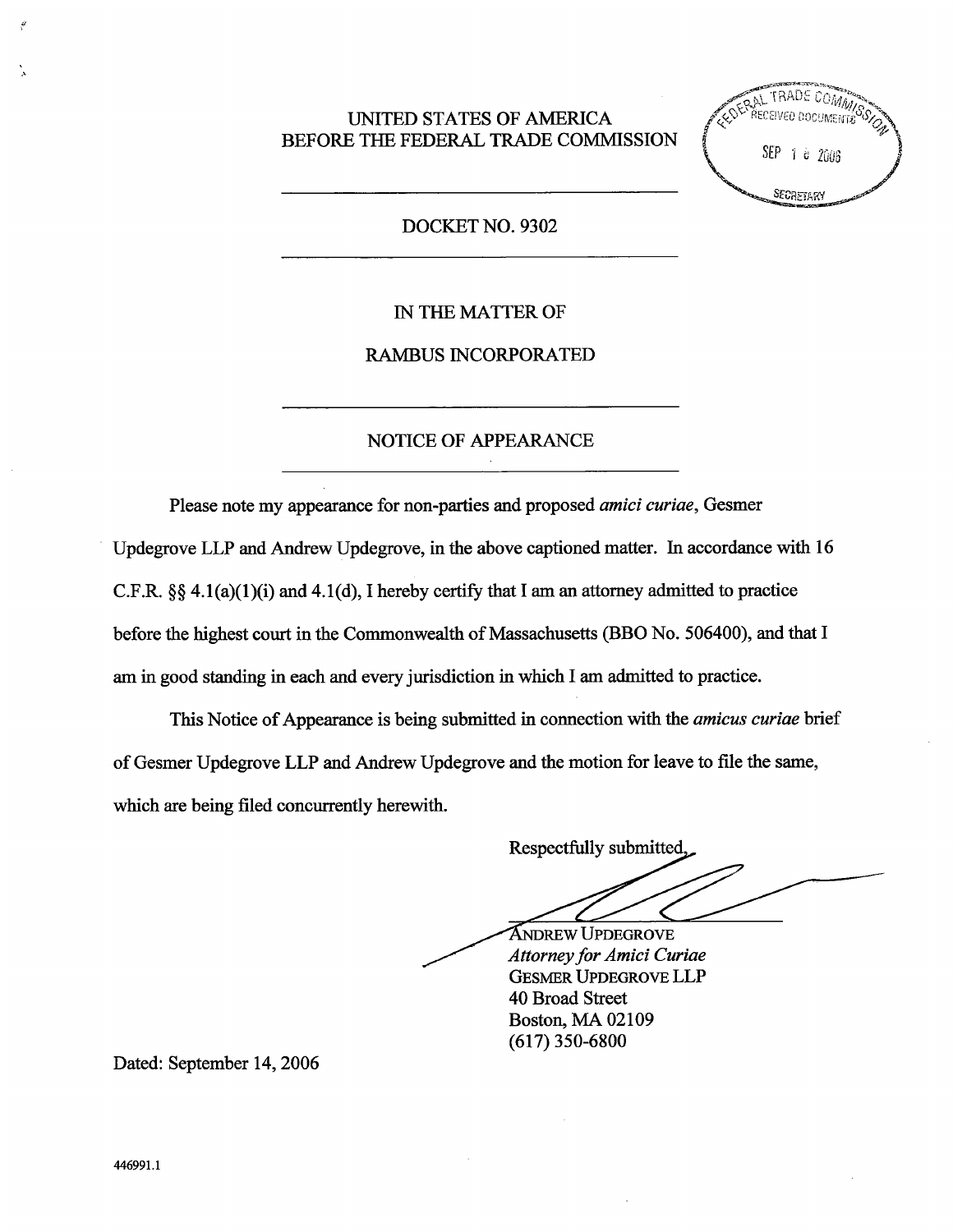## UNITED STATES OF AMERICA BEFORE THE FEDERAL TRADE COMMISSION

**ERAL TRADE COMMISS** ECEIVED DOCUMENTS SEP 1 8 2006 SECRETARY

## DOCKET NO. 9302

## IN THE MATTER OF

### RAMBUS INCORPORATED

# NOTICE OF APPEARANCE

Please note my appearance for non-parties and proposed amici curiae, Gesmer Updegrove LLP and Andrew Updegrove, in the above captioned matter. In accordance with 16 C.F.R.  $\S$  4.1(a)(1)(i) and 4.1(d), I hereby certify that I am an attorney admitted to practice before the highest court in the Commonwealth of Massachusetts (BBO No. 506400), and that I am in good standing in each and every jurisdiction in which I am admitted to practice.

This Notice of Appearance is being submitted in connection with the *amicus curiae* brief of Gesmer Updegrove LLP and Andrew Updegrove and the motion for leave to file the same which are being filed concurently herewith.

Respectfully submitted **ANDREW UPDEGROVE** 

Attorney for Amici Curiae GESMER UPDEGROVE LLP 40 Broad Street Boston, MA 02109 (617) 350-6800

Dated: September 14, 2006